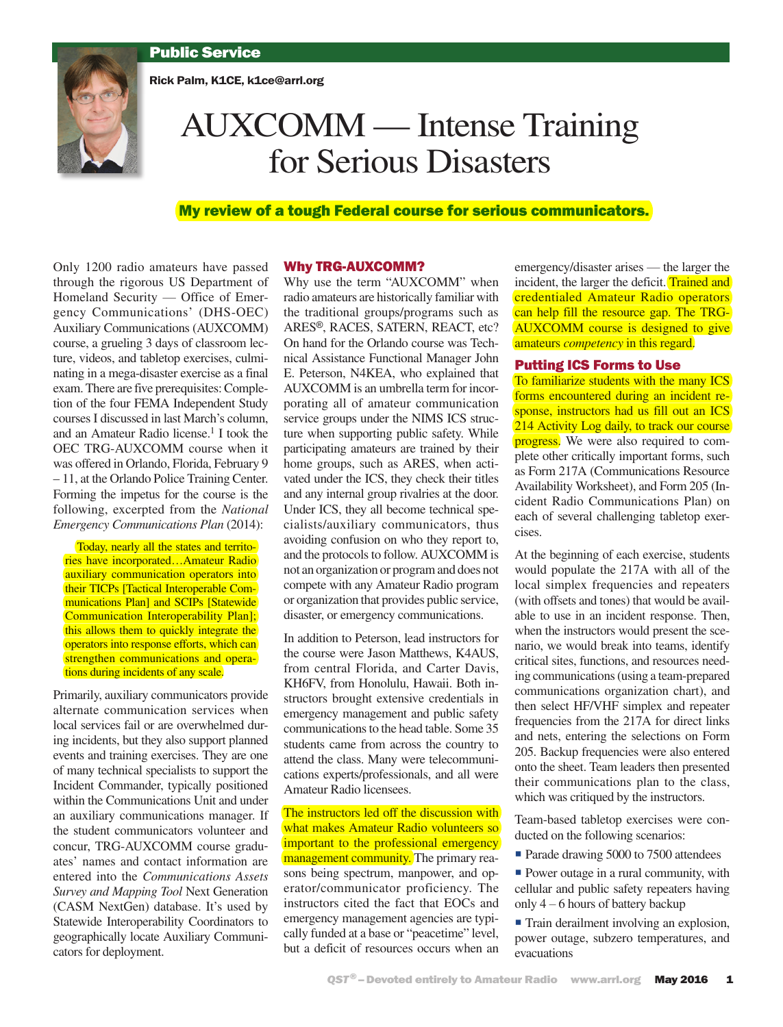# Public Service

Rick Palm, K1CE, k1ce@arrl.org



# AUXCOMM — Intense Training for Serious Disasters

# My review of a tough Federal course for serious communicators.

Only 1200 radio amateurs have passed through the rigorous US Department of Homeland Security — Office of Emergency Communications' (DHS-OEC) Auxiliary Communications (AUXCOMM) course, a grueling 3 days of classroom lecture, videos, and tabletop exercises, culminating in a mega-disaster exercise as a final exam. There are five prerequisites: Completion of the four FEMA Independent Study courses I discussed in last March's column, and an Amateur Radio license.<sup>1</sup> I took the OEC TRG-AUXCOMM course when it was offered in Orlando, Florida, February 9 – 11, at the Orlando Police Training Center. Forming the impetus for the course is the following, excerpted from the *National Emergency Communications Plan* (2014):

Today, nearly all the states and territories have incorporated…Amateur Radio auxiliary communication operators into their TICPs [Tactical Interoperable Communications Plan] and SCIPs [Statewide] Communication Interoperability Plan]; this allows them to quickly integrate the operators into response efforts, which can strengthen communications and operations during incidents of any scale.

Primarily, auxiliary communicators provide alternate communication services when local services fail or are overwhelmed during incidents, but they also support planned events and training exercises. They are one of many technical specialists to support the Incident Commander, typically positioned within the Communications Unit and under an auxiliary communications manager. If the student communicators volunteer and concur, TRG-AUXCOMM course graduates' names and contact information are entered into the *Communications Assets Survey and Mapping Tool* Next Generation (CASM NextGen) database. It's used by Statewide Interoperability Coordinators to geographically locate Auxiliary Communicators for deployment.

#### Why TRG-AUXCOMM?

Why use the term "AUXCOMM" when radio amateurs are historically familiar with the traditional groups/programs such as ARES®, RACES, SATERN, REACT, etc? On hand for the Orlando course was Technical Assistance Functional Manager John E. Peterson, N4KEA, who explained that AUXCOMM is an umbrella term for incorporating all of amateur communication service groups under the NIMS ICS structure when supporting public safety. While participating amateurs are trained by their home groups, such as ARES, when activated under the ICS, they check their titles and any internal group rivalries at the door. Under ICS, they all become technical specialists/auxiliary communicators, thus avoiding confusion on who they report to, and the protocols to follow. AUXCOMM is not an organization or program and does not compete with any Amateur Radio program or organization that provides public service, disaster, or emergency communications.

In addition to Peterson, lead instructors for the course were Jason Matthews, K4AUS, from central Florida, and Carter Davis, KH6FV, from Honolulu, Hawaii. Both instructors brought extensive credentials in emergency management and public safety communications to the head table. Some 35 students came from across the country to attend the class. Many were telecommunications experts/professionals, and all were Amateur Radio licensees.

The instructors led off the discussion with what makes Amateur Radio volunteers so important to the professional emergency management community. The primary reasons being spectrum, manpower, and operator/communicator proficiency. The instructors cited the fact that EOCs and emergency management agencies are typically funded at a base or "peacetime" level, but a deficit of resources occurs when an

emergency/disaster arises — the larger the incident, the larger the deficit. Trained and credentialed Amateur Radio operators can help fill the resource gap. The TRG-AUXCOMM course is designed to give amateurs *competency* in this regard.

## Putting ICS Forms to Use

To familiarize students with the many ICS forms encountered during an incident response, instructors had us fill out an ICS 214 Activity Log daily, to track our course progress. We were also required to complete other critically important forms, such as Form 217A (Communications Resource Availability Worksheet), and Form 205 (Incident Radio Communications Plan) on each of several challenging tabletop exercises.

At the beginning of each exercise, students would populate the 217A with all of the local simplex frequencies and repeaters (with offsets and tones) that would be available to use in an incident response. Then, when the instructors would present the scenario, we would break into teams, identify critical sites, functions, and resources needing communications (using a team-prepared communications organization chart), and then select HF/VHF simplex and repeater frequencies from the 217A for direct links and nets, entering the selections on Form 205. Backup frequencies were also entered onto the sheet. Team leaders then presented their communications plan to the class, which was critiqued by the instructors.

Team-based tabletop exercises were conducted on the following scenarios:

Parade drawing 5000 to 7500 attendees

**Power outage in a rural community, with** cellular and public safety repeaters having only 4 – 6 hours of battery backup

 Train derailment involving an explosion, power outage, subzero temperatures, and evacuations